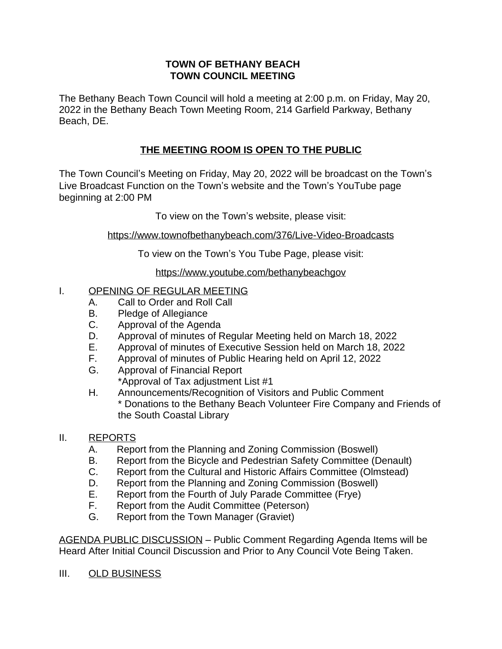#### **TOWN OF BETHANY BEACH TOWN COUNCIL MEETING**

The Bethany Beach Town Council will hold a meeting at 2:00 p.m. on Friday, May 20, 2022 in the Bethany Beach Town Meeting Room, 214 Garfield Parkway, Bethany Beach, DE.

# **THE MEETING ROOM IS OPEN TO THE PUBLIC**

The Town Council's Meeting on Friday, May 20, 2022 will be broadcast on the Town's Live Broadcast Function on the Town's website and the Town's YouTube page beginning at 2:00 PM

To view on the Town's website, please visit:

<https://www.townofbethanybeach.com/376/Live-Video-Broadcasts>

To view on the Town'[s You Tube Page, please visit:](https://www.townofbethanybeach.com/376/Live-Video-Broadcasts)

<https://www.youtube.com/bethanybeachgov>

## [I. OPENING OF REGULAR MEETING](https://www.youtube.com/bethanybeachgov)

- A. [Call to Order and Roll Call](https://www.youtube.com/bethanybeachgov)
- B. [Pledge of Allegiance](https://www.youtube.com/bethanybeachgov)<br>C. Approval of the Agen
- [Approval of the Agenda](https://www.youtube.com/bethanybeachgov)
- D. [Approval of minutes of Regular Meeting held on March 18, 2022](https://www.youtube.com/bethanybeachgov)
- E. [Approval of minutes of Executive Session held on March 18, 2022](https://www.youtube.com/bethanybeachgov)
- F. [Approval of minutes of Public Hearing held on April 12, 2022](https://www.youtube.com/bethanybeachgov)
- G. [Approval of Financial Report](https://www.youtube.com/bethanybeachgov) [\\*Approval of Tax adjustment List #1](https://www.youtube.com/bethanybeachgov)
- H. [Announcements/Recognition of Visitors and Public Comment](https://www.youtube.com/bethanybeachgov) [\\* Donations to the Bethany Beach Volunteer Fire Company and Friends of](https://www.youtube.com/bethanybeachgov) [the South Coastal Library](https://www.youtube.com/bethanybeachgov)

## [II.](https://www.youtube.com/bethanybeachgov) [REPORTS](https://www.youtube.com/bethanybeachgov)

- A. [Report from the Planning and Zoning Commission \(Boswell\)](https://www.youtube.com/bethanybeachgov)
- B. [Report from the Bicycle and Pedestrian Safety Committee \(Denault\)](https://www.youtube.com/bethanybeachgov)
- C. [Report from the Cultural and Historic Affairs Committee \(Olmstead\)](https://www.youtube.com/bethanybeachgov)
- D. [Report from the Planning and Zoning Commission \(Boswell\)](https://www.youtube.com/bethanybeachgov)
- E. [Report from the Fourth of July Parade Committee \(Frye\)](https://www.youtube.com/bethanybeachgov)<br>F. Report from the Audit Committee (Peterson)
- [Report from the Audit Committee \(Peterson\)](https://www.youtube.com/bethanybeachgov)
- G. [Report from the Town Manager \(Graviet\)](https://www.youtube.com/bethanybeachgov)

[AGENDA PUBLIC DISCUSSION](https://www.youtube.com/bethanybeachgov) – [Public Comment Regarding Agenda Items will be](https://www.youtube.com/bethanybeachgov)  [Heard After Initial Council Discussion and Prior to Any Council Vote Being Taken.](https://www.youtube.com/bethanybeachgov)

[III. OLD BUSINESS](https://www.youtube.com/bethanybeachgov)